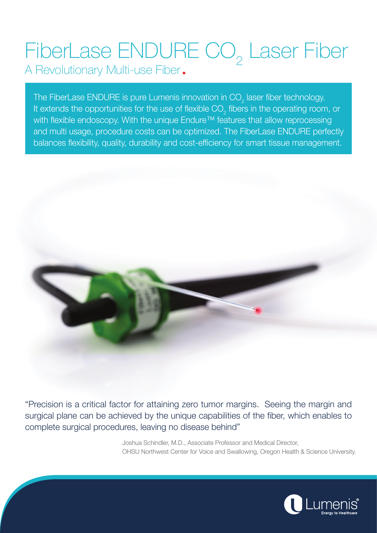## FiberLase ENDURE CO<sub>2</sub> Laser Fiber

A Revolutionary Multi-use Fiber.

The FiberLase ENDURE is pure Lumenis innovation in CO $_{_2}$  laser fiber technology. It extends the opportunities for the use of flexible CO<sub>2</sub> fibers in the operating room, or with flexible endoscopy. With the unique Endure<sup>™</sup> features that allow reprocessing and multi usage, procedure costs can be optimized. The FiberLase ENDURE perfectly balances flexibility, quality, durability and cost-efficiency for smart tissue management.



"Precision is a critical factor for attaining zero tumor margins. Seeing the margin and surgical plane can be achieved by the unique capabilities of the fiber, which enables to complete surgical procedures, leaving no disease behind"

> Joshua Schindler, M.D., Associate Professor and Medical Director, OHSU Northwest Center for Voice and Swallowing, Oregon Health & Science University.